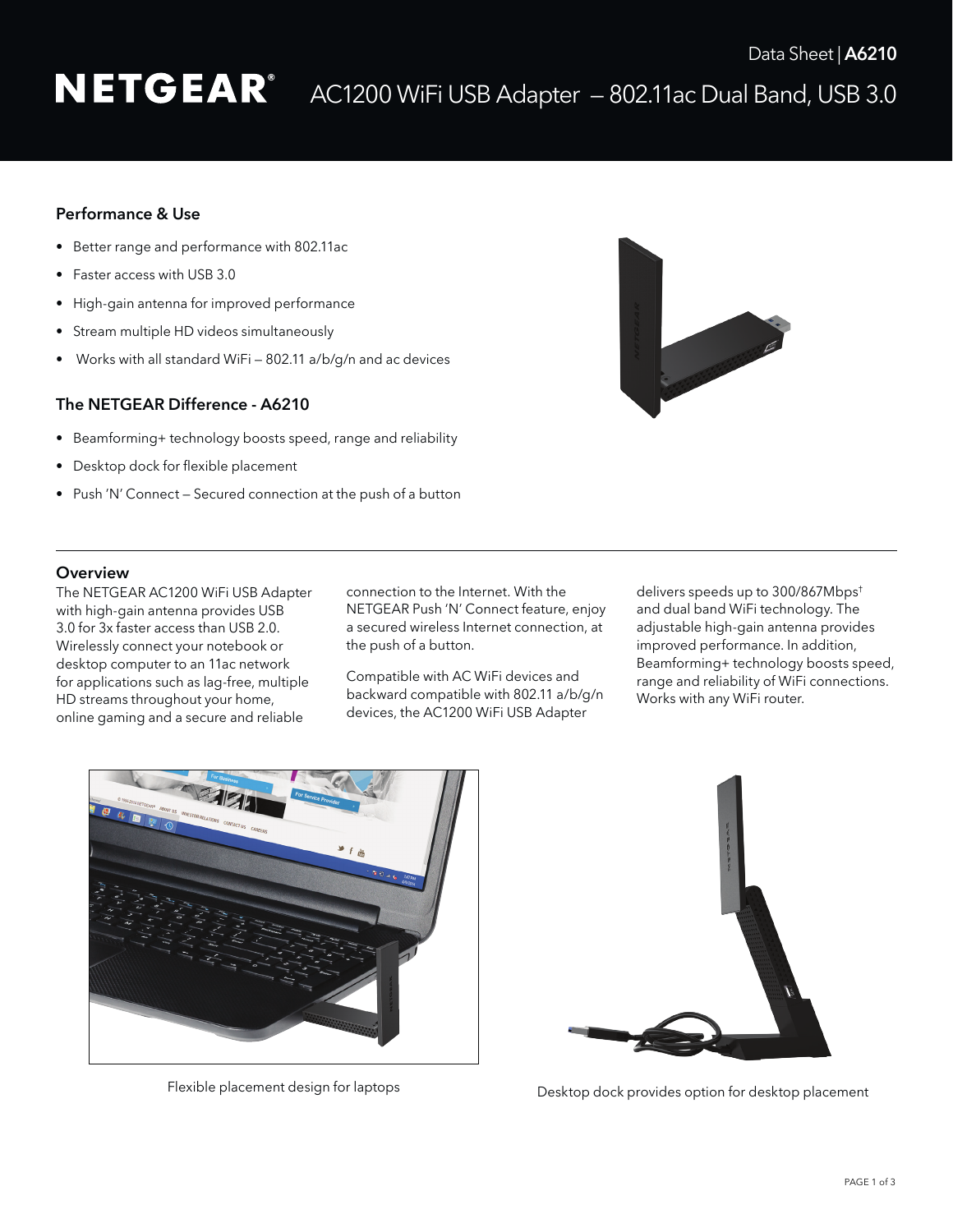# NETGEAR<sup>®</sup> AC1200 WiFi USB Adapter – 802.11ac Dual Band, USB 3.0

# Performance & Use

- Better range and performance with 802.11ac
- Faster access with USB 3.0
- High-gain antenna for improved performance
- Stream multiple HD videos simultaneously
- Works with all standard WiFi 802.11 a/b/g/n and ac devices

# The NETGEAR Difference - A6210

- Beamforming+ technology boosts speed, range and reliability
- • Desktop dock for flexible placement
- Push 'N' Connect Secured connection at the push of a button



### **Overview**

The NETGEAR AC1200 WiFi USB Adapter with high-gain antenna provides USB 3.0 for 3x faster access than USB 2.0. Wirelessly connect your notebook or desktop computer to an 11ac network for applications such as lag-free, multiple HD streams throughout your home, online gaming and a secure and reliable

connection to the Internet. With the NETGEAR Push 'N' Connect feature, enjoy a secured wireless Internet connection, at the push of a button.

Compatible with AC WiFi devices and backward compatible with 802.11 a/b/g/n devices, the AC1200 WiFi USB Adapter

delivers speeds up to 300/867Mbps† and dual band WiFi technology. The adjustable high-gain antenna provides improved performance. In addition, Beamforming+ technology boosts speed, range and reliability of WiFi connections. Works with any WiFi router.





Flexible placement design for laptops Desktop dock provides option for desktop placement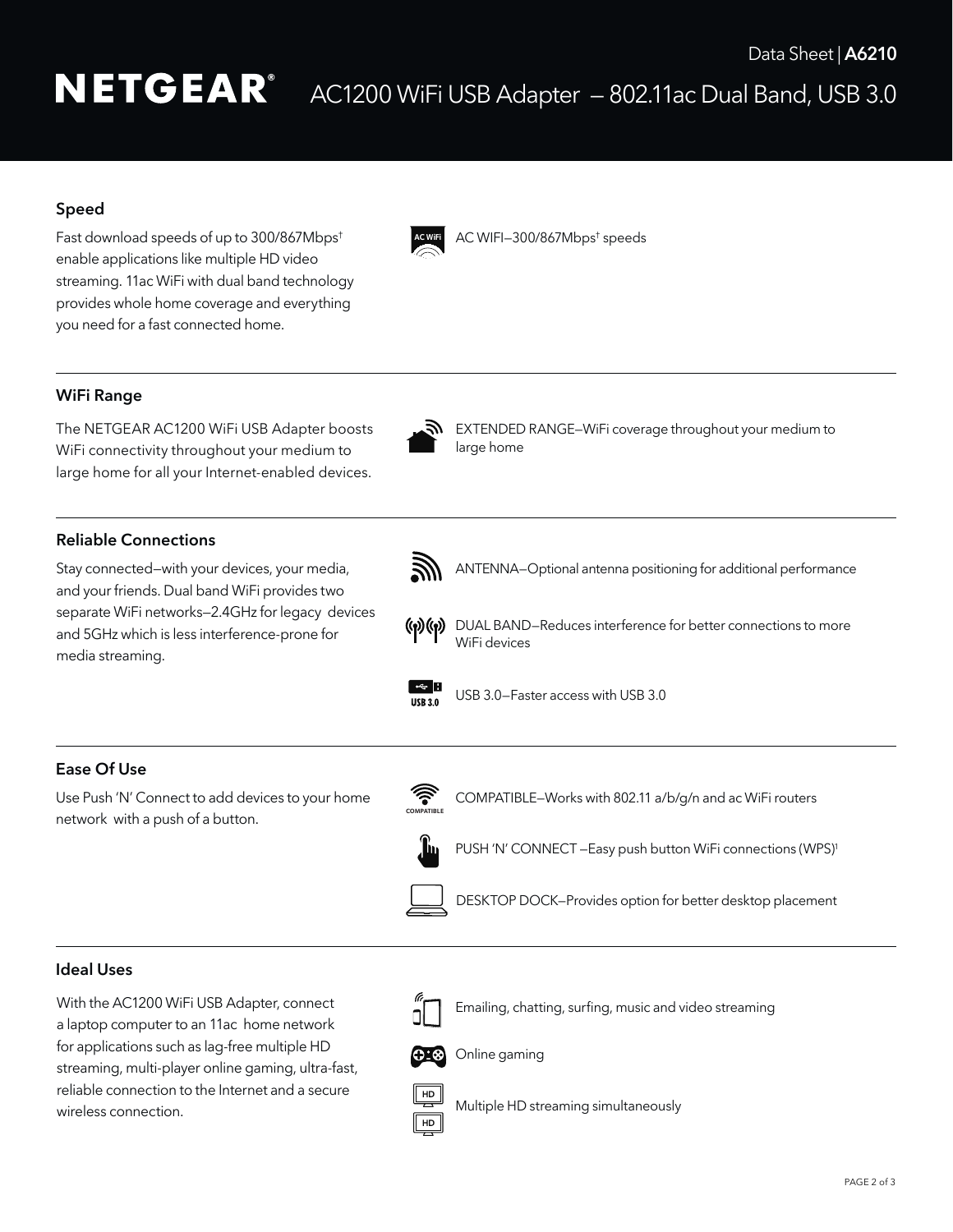# **NETGEAR®** AC1200 WiFi USB Adapter — 802.11ac Dual Band, USB 3.0

# Speed

Fast download speeds of up to 300/867Mbps† enable applications like multiple HD video streaming. 11ac WiFi with dual band technology provides whole home coverage and everything you need for a fast connected home.



AC WIFI—300/867Mbps† speeds

# WiFi Range

The NETGEAR AC1200 WiFi USB Adapter boosts WiFi connectivity throughout your medium to large home for all your Internet-enabled devices.



Reliable Connections

Stay connected—with your devices, your media, and your friends. Dual band WiFi provides two separate WiFi networks—2.4GHz for legacy devices and 5GHz which is less interference-prone for media streaming.



EXTENDED RANGE–WiFi coverage throughout your medium to large home



ANTENNA—Optional antenna positioning for additional performance



(v) (v) DUAL BAND–Reduces interference for better connections to more WiFi devices



 $\frac{1}{115R30}$  USB 3.0-Faster access with USB 3.0

# Ease Of Use

Use Push 'N' Connect to add devices to your home network with a push of a button.



COMPATIBLE–Works with 802.11 a/b/g/n and ac WiFi routers



PUSH 'N' CONNECT - Easy push button WiFi connections (WPS)<sup>1</sup>



DESKTOP DOCK—Provides option for better desktop placement

#### Ideal Uses

With the AC1200 WiFi USB Adapter, connect a laptop computer to an 11ac home network for applications such as lag-free multiple HD streaming, multi-player online gaming, ultra-fast, reliable connection to the Internet and a secure wireless connection.



 Emailing, chatting, surfing, music and video streaming



Online gaming

Multiple HD streaming simultaneously